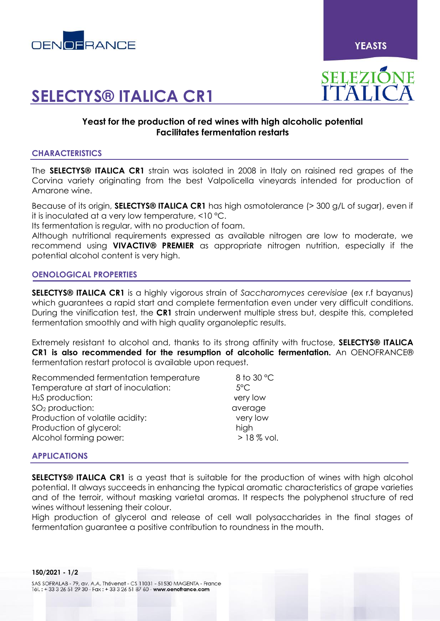

**YEASTS** 

# **SELECTYS® ITALICA CR1**

# SELEZIÓNE

# **Yeast for the production of red wines with high alcoholic potential Facilitates fermentation restarts**

# **CHARACTERISTICS**

The **SELECTYS® ITALICA CR1** strain was isolated in 2008 in Italy on raisined red grapes of the Corvina variety originating from the best Valpolicella vineyards intended for production of Amarone wine.

Because of its origin, **SELECTYS® ITALICA CR1** has high osmotolerance (> 300 g/L of sugar), even if it is inoculated at a very low temperature, <10 °C.

Its fermentation is regular, with no production of foam.

Although nutritional requirements expressed as available nitrogen are low to moderate, we recommend using **VIVACTIV® PREMIER** as appropriate nitrogen nutrition, especially if the potential alcohol content is very high.

# **OENOLOGICAL PROPERTIES**

**SELECTYS® ITALICA CR1** is a highly vigorous strain of *Saccharomyces cerevisiae* (ex r.f bayanus) which guarantees a rapid start and complete fermentation even under very difficult conditions. During the vinification test, the **CR1** strain underwent multiple stress but, despite this, completed fermentation smoothly and with high quality organoleptic results.

Extremely resistant to alcohol and, thanks to its strong affinity with fructose, **SELECTYS® ITALICA CR1 is also recommended for the resumption of alcoholic fermentation.** An OENOFRANCE® fermentation restart protocol is available upon request.

| 8 to 30 °C    |
|---------------|
| $5^{\circ}$ C |
| very low      |
| average       |
| very low      |
| high          |
| $>18\%$ vol.  |
|               |

# **APPLICATIONS**

**SELECTYS® ITALICA CR1** is a yeast that is suitable for the production of wines with high alcohol potential. It always succeeds in enhancing the typical aromatic characteristics of grape varieties and of the terroir, without masking varietal aromas. It respects the polyphenol structure of red wines without lessening their colour.

High production of glycerol and release of cell wall polysaccharides in the final stages of fermentation guarantee a positive contribution to roundness in the mouth.

SAS SOFRALAB - 79, av. A.A. Thévenet - CS 11031 - 51530 MAGENTA - France Tél.: +33 3 26 51 29 30 - Fax: +33 3 26 51 87 60 - www.oenofrance.com